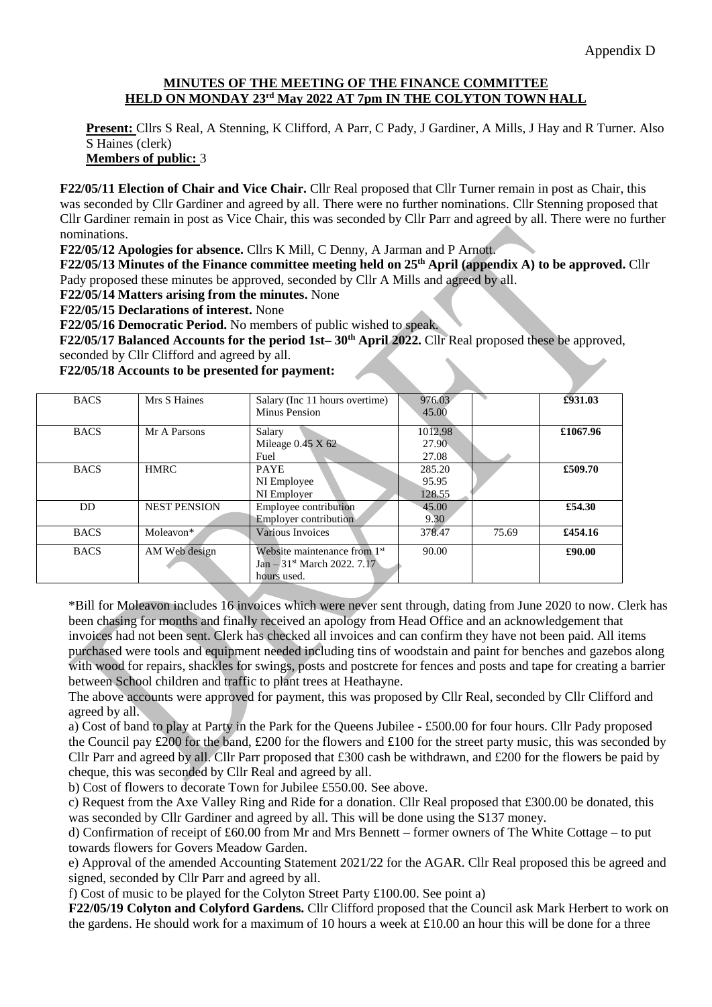## **MINUTES OF THE MEETING OF THE FINANCE COMMITTEE HELD ON MONDAY 23rd May 2022 AT 7pm IN THE COLYTON TOWN HALL**

**Present:** Cllrs S Real, A Stenning, K Clifford, A Parr, C Pady, J Gardiner, A Mills, J Hay and R Turner. Also S Haines (clerk)

**Members of public:** 3

**F22/05/11 Election of Chair and Vice Chair.** Cllr Real proposed that Cllr Turner remain in post as Chair, this was seconded by Cllr Gardiner and agreed by all. There were no further nominations. Cllr Stenning proposed that Cllr Gardiner remain in post as Vice Chair, this was seconded by Cllr Parr and agreed by all. There were no further nominations.

**F22/05/12 Apologies for absence.** Cllrs K Mill, C Denny, A Jarman and P Arnott.

**F22/05/13 Minutes of the Finance committee meeting held on 25th April (appendix A) to be approved.** Cllr Pady proposed these minutes be approved, seconded by Cllr A Mills and agreed by all.

**F22/05/14 Matters arising from the minutes.** None

**F22/05/15 Declarations of interest.** None

**F22/05/16 Democratic Period.** No members of public wished to speak.

 **F22/05/17 Balanced Accounts for the period 1st– 30th April 2022.** Cllr Real proposed these be approved, seconded by Cllr Clifford and agreed by all.

**F22/05/18 Accounts to be presented for payment:**

| 976.03<br>Mrs S Haines<br><b>BACS</b><br>Salary (Inc 11 hours overtime)           | £931.03  |
|-----------------------------------------------------------------------------------|----------|
| Minus Pension<br>45.00                                                            |          |
| 1012.98<br><b>BACS</b><br>Mr A Parsons<br>Salary                                  | £1067.96 |
| Mileage $0.45$ X $62$<br>27.90                                                    |          |
| 27.08<br>Fuel                                                                     |          |
| <b>BACS</b><br><b>HMRC</b><br>285.20<br><b>PAYE</b>                               | £509.70  |
| 95.95<br>NI Employee                                                              |          |
| NI Employer<br>128.55                                                             |          |
| Employee contribution<br><b>NEST PENSION</b><br>DD.<br>45.00                      | £54.30   |
| <b>Employer contribution</b><br>9.30                                              |          |
| 378.47<br>Various Invoices<br><b>BACS</b><br>Moleavon*<br>75.69                   | £454.16  |
| Website maintenance from 1 <sup>st</sup><br>AM Web design<br><b>BACS</b><br>90.00 | £90.00   |
| Jan $-31$ <sup>st</sup> March 2022, 7.17                                          |          |
| hours used.                                                                       |          |

\*Bill for Moleavon includes 16 invoices which were never sent through, dating from June 2020 to now. Clerk has been chasing for months and finally received an apology from Head Office and an acknowledgement that invoices had not been sent. Clerk has checked all invoices and can confirm they have not been paid. All items purchased were tools and equipment needed including tins of woodstain and paint for benches and gazebos along with wood for repairs, shackles for swings, posts and postcrete for fences and posts and tape for creating a barrier between School children and traffic to plant trees at Heathayne.

The above accounts were approved for payment, this was proposed by Cllr Real, seconded by Cllr Clifford and agreed by all.

a) Cost of band to play at Party in the Park for the Queens Jubilee - £500.00 for four hours. Cllr Pady proposed the Council pay £200 for the band, £200 for the flowers and £100 for the street party music, this was seconded by Cllr Parr and agreed by all. Cllr Parr proposed that £300 cash be withdrawn, and £200 for the flowers be paid by cheque, this was seconded by Cllr Real and agreed by all.

b) Cost of flowers to decorate Town for Jubilee £550.00. See above.

c) Request from the Axe Valley Ring and Ride for a donation. Cllr Real proposed that £300.00 be donated, this was seconded by Cllr Gardiner and agreed by all. This will be done using the S137 money.

d) Confirmation of receipt of £60.00 from Mr and Mrs Bennett – former owners of The White Cottage – to put towards flowers for Govers Meadow Garden.

e) Approval of the amended Accounting Statement 2021/22 for the AGAR. Cllr Real proposed this be agreed and signed, seconded by Cllr Parr and agreed by all.

f) Cost of music to be played for the Colyton Street Party £100.00. See point a)

**F22/05/19 Colyton and Colyford Gardens.** Cllr Clifford proposed that the Council ask Mark Herbert to work on the gardens. He should work for a maximum of 10 hours a week at £10.00 an hour this will be done for a three